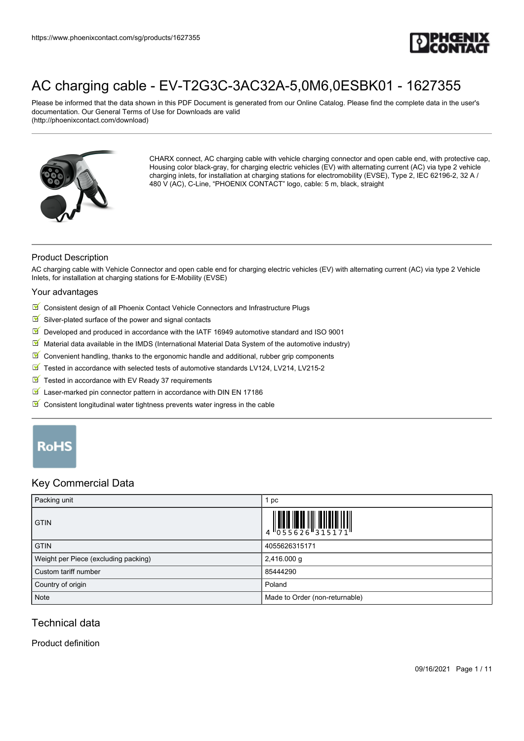

Please be informed that the data shown in this PDF Document is generated from our Online Catalog. Please find the complete data in the user's documentation. Our General Terms of Use for Downloads are valid (http://phoenixcontact.com/download)



CHARX connect, AC charging cable with vehicle charging connector and open cable end, with protective cap, Housing color black-gray, for charging electric vehicles (EV) with alternating current (AC) via type 2 vehicle charging inlets, for installation at charging stations for electromobility (EVSE), Type 2, IEC 62196-2, 32 A / 480 V (AC), C-Line, "PHOENIX CONTACT" logo, cable: 5 m, black, straight

## Product Description

AC charging cable with Vehicle Connector and open cable end for charging electric vehicles (EV) with alternating current (AC) via type 2 Vehicle Inlets, for installation at charging stations for E-Mobility (EVSE)

#### Your advantages

- $\boxed{\blacksquare}$  Consistent design of all Phoenix Contact Vehicle Connectors and Infrastructure Plugs
- $\blacksquare$  Silver-plated surface of the power and signal contacts
- $\boxed{\blacksquare}$  Developed and produced in accordance with the IATF 16949 automotive standard and ISO 9001
- Material data available in the IMDS (International Material Data System of the automotive industry)
- $\blacksquare$ Convenient handling, thanks to the ergonomic handle and additional, rubber grip components
- Tested in accordance with selected tests of automotive standards LV124, LV214, LV215-2
- $\sqrt{}$ Tested in accordance with EV Ready 37 requirements
- び Laser-marked pin connector pattern in accordance with DIN EN 17186
- $\blacksquare$  Consistent longitudinal water tightness prevents water ingress in the cable

# RoHS

## Key Commercial Data

| Packing unit                         | 1 pc                                                                      |
|--------------------------------------|---------------------------------------------------------------------------|
| <b>GTIN</b>                          | $\begin{array}{c} 1 & 0 & 0 & 0 \\ 0 & 0 & 5 & 5 & 6 & 2 & 6 \end{array}$ |
| <b>GTIN</b>                          | 4055626315171                                                             |
| Weight per Piece (excluding packing) | 2,416.000 g                                                               |
| Custom tariff number                 | 85444290                                                                  |
| Country of origin                    | Poland                                                                    |
| Note                                 | Made to Order (non-returnable)                                            |

# Technical data

#### Product definition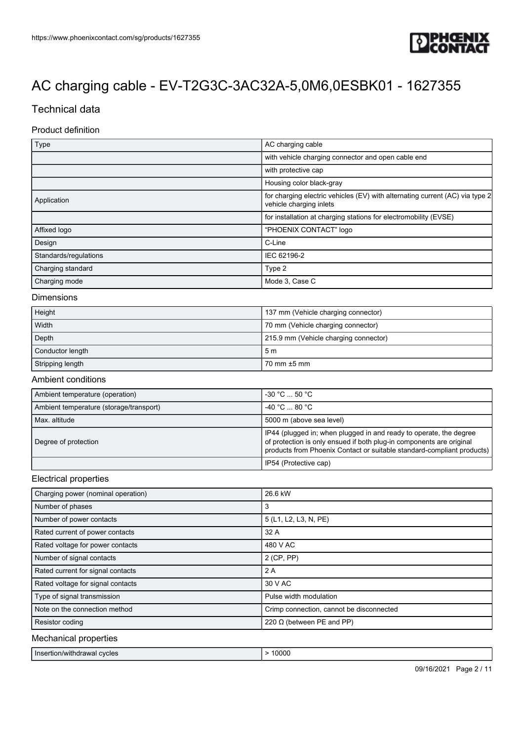

# Technical data

## Product definition

| Type                  | AC charging cable                                                                                       |
|-----------------------|---------------------------------------------------------------------------------------------------------|
|                       | with vehicle charging connector and open cable end                                                      |
|                       | with protective cap                                                                                     |
|                       | Housing color black-gray                                                                                |
| Application           | for charging electric vehicles (EV) with alternating current (AC) via type 2<br>vehicle charging inlets |
|                       | for installation at charging stations for electromobility (EVSE)                                        |
| Affixed logo          | "PHOENIX CONTACT" logo                                                                                  |
| Design                | C-Line                                                                                                  |
| Standards/regulations | IEC 62196-2                                                                                             |
| Charging standard     | Type 2                                                                                                  |
| Charging mode         | Mode 3, Case C                                                                                          |

#### Dimensions

| Height           | 137 mm (Vehicle charging connector)   |
|------------------|---------------------------------------|
| Width            | 70 mm (Vehicle charging connector)    |
| Depth            | 215.9 mm (Vehicle charging connector) |
| Conductor length | 5m                                    |
| Stripping length | 70 mm ±5 mm                           |

#### Ambient conditions

| Ambient temperature (operation)         | $-30$ °C $\dots$ 50 °C $\cdot$                                                                                                                                                                                       |
|-----------------------------------------|----------------------------------------------------------------------------------------------------------------------------------------------------------------------------------------------------------------------|
| Ambient temperature (storage/transport) | $-40 °C$ 80 °C                                                                                                                                                                                                       |
| Max. altitude                           | 5000 m (above sea level)                                                                                                                                                                                             |
| Degree of protection                    | IP44 (plugged in; when plugged in and ready to operate, the degree<br>of protection is only ensued if both plug-in components are original<br>products from Phoenix Contact or suitable standard-compliant products) |
|                                         | IP54 (Protective cap)                                                                                                                                                                                                |

#### Electrical properties

| Charging power (nominal operation)                                                                                                                                                                                              | 26.6 kW                                  |
|---------------------------------------------------------------------------------------------------------------------------------------------------------------------------------------------------------------------------------|------------------------------------------|
| Number of phases                                                                                                                                                                                                                | 3                                        |
| Number of power contacts                                                                                                                                                                                                        | 5 (L1, L2, L3, N, PE)                    |
| Rated current of power contacts                                                                                                                                                                                                 | 32 A                                     |
| Rated voltage for power contacts                                                                                                                                                                                                | 480 V AC                                 |
| Number of signal contacts                                                                                                                                                                                                       | $2$ (CP, PP)                             |
| Rated current for signal contacts                                                                                                                                                                                               | 2A                                       |
| Rated voltage for signal contacts                                                                                                                                                                                               | 30 V AC                                  |
| Type of signal transmission                                                                                                                                                                                                     | Pulse width modulation                   |
| Note on the connection method                                                                                                                                                                                                   | Crimp connection, cannot be disconnected |
| Resistor coding                                                                                                                                                                                                                 | 220 $\Omega$ (between PE and PP)         |
| <b>MA</b> It is a state of the state of the state of the state of the state of the state of the state of the state of the state of the state of the state of the state of the state of the state of the state of the state of t |                                          |

#### Mechanical properties

| Insertion/withdrawal cycles | 0000 |
|-----------------------------|------|
|-----------------------------|------|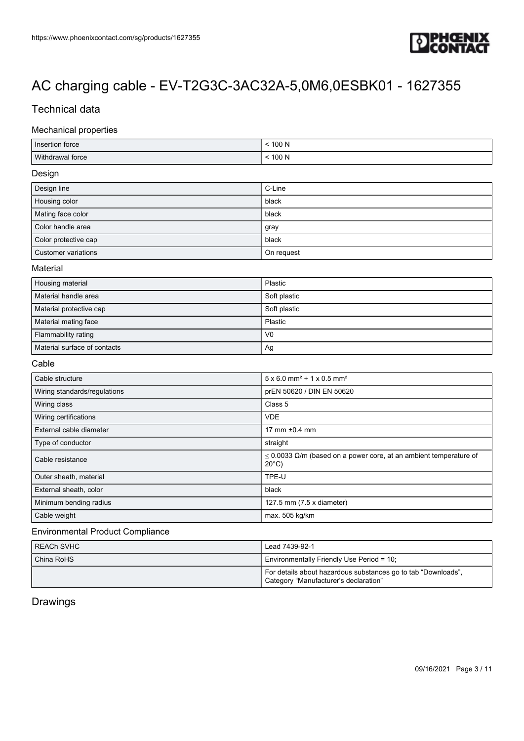

# Technical data

## Mechanical properties

| Insertion force  | 100 N   |
|------------------|---------|
| Withdrawal force | 100 $N$ |

#### Design

| Design line          | C-Line     |
|----------------------|------------|
| Housing color        | black      |
| Mating face color    | black      |
| Color handle area    | gray       |
| Color protective cap | black      |
| Customer variations  | On request |

#### **Material**

| Housing material             | Plastic        |
|------------------------------|----------------|
| Material handle area         | Soft plastic   |
| Material protective cap      | Soft plastic   |
| Material mating face         | Plastic        |
| Flammability rating          | V <sub>0</sub> |
| Material surface of contacts | Ag             |

#### Cable

| Cable structure              | $5 \times 6.0$ mm <sup>2</sup> + 1 x 0.5 mm <sup>2</sup>                                  |
|------------------------------|-------------------------------------------------------------------------------------------|
| Wiring standards/regulations | prEN 50620 / DIN EN 50620                                                                 |
| Wiring class                 | Class 5                                                                                   |
| Wiring certifications        | <b>VDE</b>                                                                                |
| External cable diameter      | 17 mm $±0.4$ mm                                                                           |
| Type of conductor            | straight                                                                                  |
| Cable resistance             | $\leq$ 0.0033 Ω/m (based on a power core, at an ambient temperature of<br>$20^{\circ}$ C) |
| Outer sheath, material       | TPE-U                                                                                     |
| External sheath, color       | black                                                                                     |
| Minimum bending radius       | 127.5 mm (7.5 x diameter)                                                                 |
| Cable weight                 | max. 505 kg/km                                                                            |

# Environmental Product Compliance

| I REACh SVHC | Lead 7439-92-1                                                                                         |
|--------------|--------------------------------------------------------------------------------------------------------|
| China RoHS   | Environmentally Friendly Use Period = 10;                                                              |
|              | For details about hazardous substances go to tab "Downloads",<br>Category "Manufacturer's declaration" |

# Drawings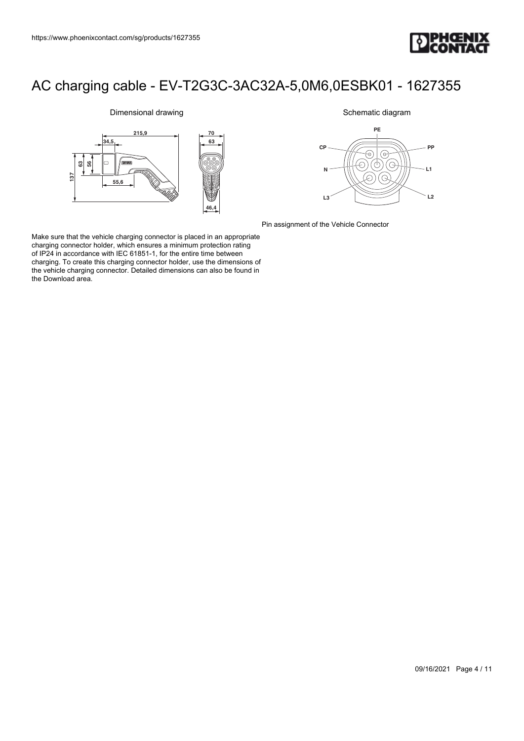

## **6356 137 46,4 34,5 215,9 63 70 55,6**

Dimensional drawing

Schematic diagram



Pin assignment of the Vehicle Connector

Make sure that the vehicle charging connector is placed in an appropriate charging connector holder, which ensures a minimum protection rating of IP24 in accordance with IEC 61851-1, for the entire time between charging. To create this charging connector holder, use the dimensions of the vehicle charging connector. Detailed dimensions can also be found in the Download area.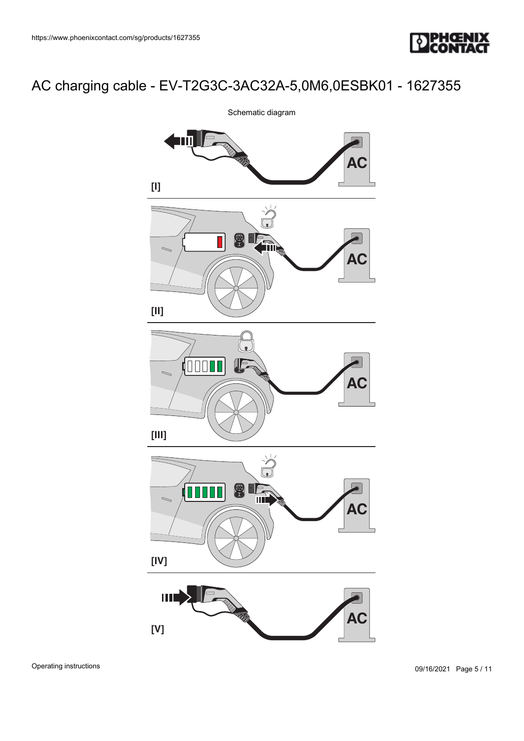



Operating instructions

09/16/2021 Page 5 / 11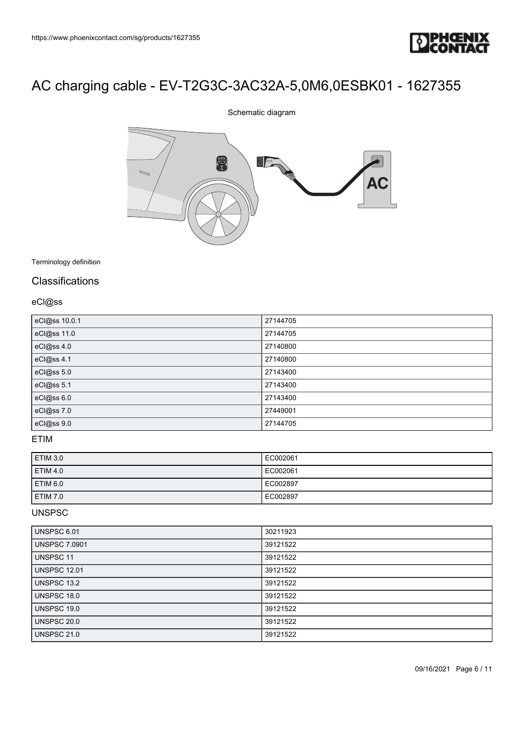

# 8 FIF.  $\bigotimes$ **AC**

Schematic diagram

Terminology definition

# **Classifications**

eCl@ss

| eCl@ss 10.0.1 | 27144705 |
|---------------|----------|
| eCl@ss 11.0   | 27144705 |
| eCl@ss 4.0    | 27140800 |
| eCl@ss 4.1    | 27140800 |
| eCl@ss 5.0    | 27143400 |
| eCl@ss 5.1    | 27143400 |
| eCl@ss 6.0    | 27143400 |
| eCl@ss 7.0    | 27449001 |
| eCl@ss 9.0    | 27144705 |

## ETIM

| <b>ETIM 3.0</b> | EC002061 |
|-----------------|----------|
| <b>ETIM 4.0</b> | EC002061 |
| <b>ETIM 6.0</b> | EC002897 |
| <b>ETIM 7.0</b> | EC002897 |

#### UNSPSC

| UNSPSC 6.01          | 30211923 |
|----------------------|----------|
| <b>UNSPSC 7.0901</b> | 39121522 |
| UNSPSC 11            | 39121522 |
| <b>UNSPSC 12.01</b>  | 39121522 |
| UNSPSC 13.2          | 39121522 |
| UNSPSC 18.0          | 39121522 |
| UNSPSC 19.0          | 39121522 |
| UNSPSC 20.0          | 39121522 |
| <b>UNSPSC 21.0</b>   | 39121522 |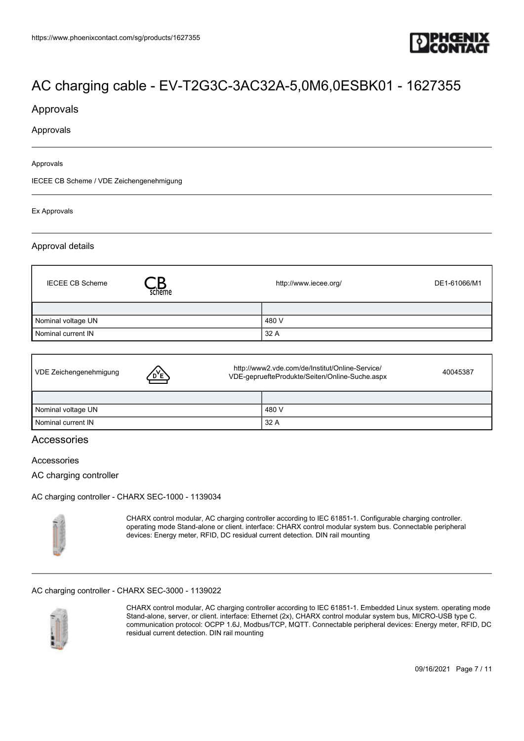

## Approvals

#### Approvals

#### Approvals

IECEE CB Scheme / VDE Zeichengenehmigung

#### Ex Approvals

#### Approval details

| <b>IECEE CB Scheme</b> | scheme | http://www.iecee.org/ | DE1-61066/M1 |
|------------------------|--------|-----------------------|--------------|
|                        |        |                       |              |
| Nominal voltage UN     |        | 480 V                 |              |
| Nominal current IN     |        | 32 A                  |              |

| VDE Zeichengenehmigung | <u>D'Е</u> | http://www2.vde.com/de/Institut/Online-Service/<br>VDE-gepruefteProdukte/Seiten/Online-Suche.aspx |       | 40045387 |
|------------------------|------------|---------------------------------------------------------------------------------------------------|-------|----------|
|                        |            |                                                                                                   |       |          |
| Nominal voltage UN     |            |                                                                                                   | 480 V |          |
| Nominal current IN     |            |                                                                                                   | 32 A  |          |

## **Accessories**

#### Accessories

AC charging controller

[AC charging controller - CHARX SEC-1000 - 1139034](https://www.phoenixcontact.com/sg/products/1139034)



CHARX control modular, AC charging controller according to IEC 61851-1. Configurable charging controller. operating mode Stand-alone or client. interface: CHARX control modular system bus. Connectable peripheral devices: Energy meter, RFID, DC residual current detection. DIN rail mounting

#### [AC charging controller - CHARX SEC-3000 - 1139022](https://www.phoenixcontact.com/sg/products/1139022)



CHARX control modular, AC charging controller according to IEC 61851-1. Embedded Linux system. operating mode Stand-alone, server, or client. interface: Ethernet (2x), CHARX control modular system bus, MICRO-USB type C. communication protocol: OCPP 1.6J, Modbus/TCP, MQTT. Connectable peripheral devices: Energy meter, RFID, DC residual current detection. DIN rail mounting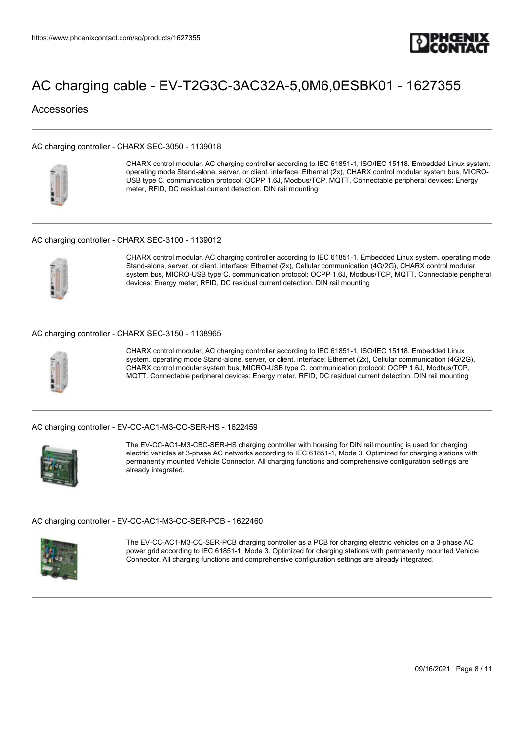

## Accessories

#### [AC charging controller - CHARX SEC-3050 - 1139018](https://www.phoenixcontact.com/sg/products/1139018)



CHARX control modular, AC charging controller according to IEC 61851-1, ISO/IEC 15118. Embedded Linux system. operating mode Stand-alone, server, or client. interface: Ethernet (2x), CHARX control modular system bus, MICRO-USB type C. communication protocol: OCPP 1.6J, Modbus/TCP, MQTT. Connectable peripheral devices: Energy meter, RFID, DC residual current detection. DIN rail mounting

#### [AC charging controller - CHARX SEC-3100 - 1139012](https://www.phoenixcontact.com/sg/products/1139012)



CHARX control modular, AC charging controller according to IEC 61851-1. Embedded Linux system. operating mode Stand-alone, server, or client. interface: Ethernet (2x), Cellular communication (4G/2G), CHARX control modular system bus, MICRO-USB type C. communication protocol: OCPP 1.6J, Modbus/TCP, MQTT. Connectable peripheral devices: Energy meter, RFID, DC residual current detection. DIN rail mounting

#### [AC charging controller - CHARX SEC-3150 - 1138965](https://www.phoenixcontact.com/sg/products/1138965)



CHARX control modular, AC charging controller according to IEC 61851-1, ISO/IEC 15118. Embedded Linux system. operating mode Stand-alone, server, or client. interface: Ethernet (2x), Cellular communication (4G/2G), CHARX control modular system bus, MICRO-USB type C. communication protocol: OCPP 1.6J, Modbus/TCP, MQTT. Connectable peripheral devices: Energy meter, RFID, DC residual current detection. DIN rail mounting

[AC charging controller - EV-CC-AC1-M3-CC-SER-HS - 1622459](https://www.phoenixcontact.com/sg/products/1622459)



The EV-CC-AC1-M3-CBC-SER-HS charging controller with housing for DIN rail mounting is used for charging electric vehicles at 3-phase AC networks according to IEC 61851-1, Mode 3. Optimized for charging stations with permanently mounted Vehicle Connector. All charging functions and comprehensive configuration settings are already integrated.

[AC charging controller - EV-CC-AC1-M3-CC-SER-PCB - 1622460](https://www.phoenixcontact.com/sg/products/1622460)



The EV-CC-AC1-M3-CC-SER-PCB charging controller as a PCB for charging electric vehicles on a 3-phase AC power grid according to IEC 61851-1, Mode 3. Optimized for charging stations with permanently mounted Vehicle Connector. All charging functions and comprehensive configuration settings are already integrated.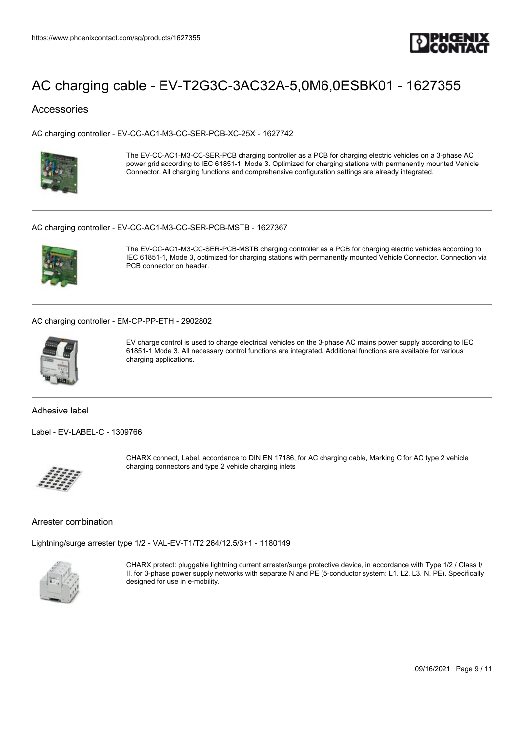

## Accessories

[AC charging controller - EV-CC-AC1-M3-CC-SER-PCB-XC-25X - 1627742](https://www.phoenixcontact.com/sg/products/1627742)



The EV-CC-AC1-M3-CC-SER-PCB charging controller as a PCB for charging electric vehicles on a 3-phase AC power grid according to IEC 61851-1, Mode 3. Optimized for charging stations with permanently mounted Vehicle Connector. All charging functions and comprehensive configuration settings are already integrated.

#### [AC charging controller - EV-CC-AC1-M3-CC-SER-PCB-MSTB - 1627367](https://www.phoenixcontact.com/sg/products/1627367)



The EV-CC-AC1-M3-CC-SER-PCB-MSTB charging controller as a PCB for charging electric vehicles according to IEC 61851-1, Mode 3, optimized for charging stations with permanently mounted Vehicle Connector. Connection via PCB connector on header.

[AC charging controller - EM-CP-PP-ETH - 2902802](https://www.phoenixcontact.com/sg/products/2902802)



EV charge control is used to charge electrical vehicles on the 3-phase AC mains power supply according to IEC 61851-1 Mode 3. All necessary control functions are integrated. Additional functions are available for various charging applications.

Adhesive label

[Label - EV-LABEL-C - 1309766](https://www.phoenixcontact.com/sg/products/1309766)



CHARX connect, Label, accordance to DIN EN 17186, for AC charging cable, Marking C for AC type 2 vehicle charging connectors and type 2 vehicle charging inlets

#### Arrester combination

[Lightning/surge arrester type 1/2 - VAL-EV-T1/T2 264/12.5/3+1 - 1180149](https://www.phoenixcontact.com/sg/products/1180149)



CHARX protect: pluggable lightning current arrester/surge protective device, in accordance with Type 1/2 / Class I/ II, for 3-phase power supply networks with separate N and PE (5-conductor system: L1, L2, L3, N, PE). Specifically designed for use in e-mobility.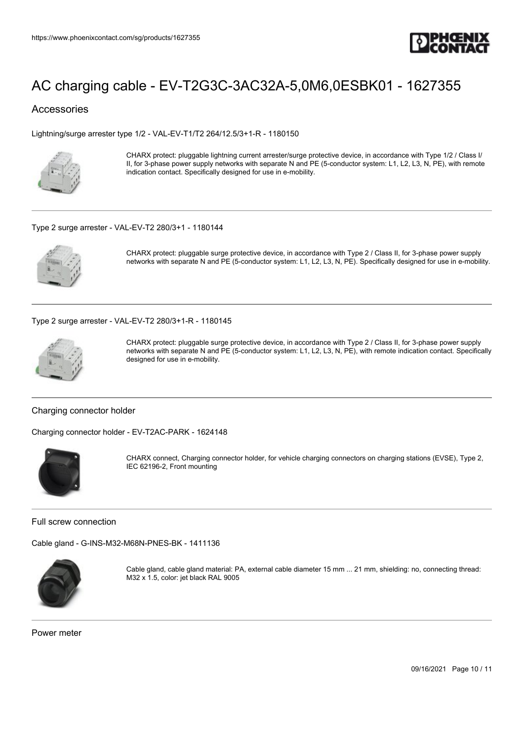

## Accessories

[Lightning/surge arrester type 1/2 - VAL-EV-T1/T2 264/12.5/3+1-R - 1180150](https://www.phoenixcontact.com/sg/products/1180150)



CHARX protect: pluggable lightning current arrester/surge protective device, in accordance with Type 1/2 / Class I/ II, for 3-phase power supply networks with separate N and PE (5-conductor system: L1, L2, L3, N, PE), with remote indication contact. Specifically designed for use in e-mobility.

#### [Type 2 surge arrester - VAL-EV-T2 280/3+1 - 1180144](https://www.phoenixcontact.com/sg/products/1180144)



CHARX protect: pluggable surge protective device, in accordance with Type 2 / Class II, for 3-phase power supply networks with separate N and PE (5-conductor system: L1, L2, L3, N, PE). Specifically designed for use in e-mobility.

[Type 2 surge arrester - VAL-EV-T2 280/3+1-R - 1180145](https://www.phoenixcontact.com/sg/products/1180145)



CHARX protect: pluggable surge protective device, in accordance with Type 2 / Class II, for 3-phase power supply networks with separate N and PE (5-conductor system: L1, L2, L3, N, PE), with remote indication contact. Specifically designed for use in e-mobility.

#### Charging connector holder

[Charging connector holder - EV-T2AC-PARK - 1624148](https://www.phoenixcontact.com/sg/products/1624148)



CHARX connect, Charging connector holder, for vehicle charging connectors on charging stations (EVSE), Type 2, IEC 62196-2, Front mounting

Full screw connection

[Cable gland - G-INS-M32-M68N-PNES-BK - 1411136](https://www.phoenixcontact.com/sg/products/1411136)



Cable gland, cable gland material: PA, external cable diameter 15 mm ... 21 mm, shielding: no, connecting thread: M32 x 1.5, color: jet black RAL 9005

Power meter